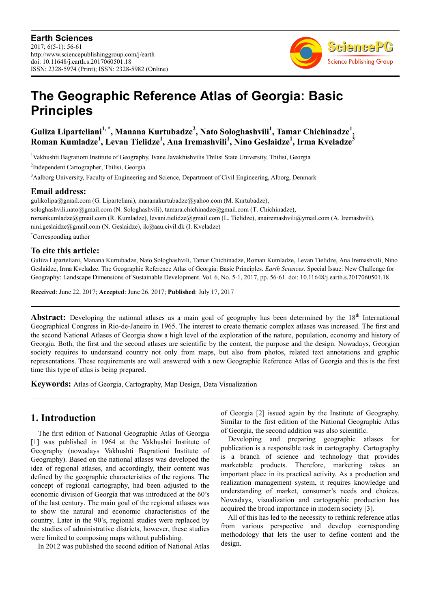

# **The Geographic Reference Atlas of Georgia: Basic Principles**

**Guliza Liparteliani1, \*, Manana Kurtubadze<sup>2</sup> , Nato Sologhashvili<sup>1</sup> , Tamar Chichinadze<sup>1</sup> , Roman Kumladze<sup>1</sup> , Levan Tielidze<sup>1</sup> , Ana Iremashvili<sup>1</sup> , Nino Geslaidze<sup>1</sup> , Irma Kveladze<sup>3</sup>**

<sup>1</sup>Vakhushti Bagrationi Institute of Geography, Ivane Javakhishvilis Tbilisi State University, Tbilisi, Georgia

2 Independent Cartographer, Tbilisi, Georgia

<sup>3</sup>Aalborg University, Faculty of Engineering and Science, Department of Civil Engineering, Alborg, Denmark

#### **Email address:**

gulikolipa@gmail.com (G. Liparteliani), mananakurtubadze@yahoo.com (M. Kurtubadze), sologhashvili.nato@gmail.com (N. Sologhashvili), tamara.chichinadze@gmail.com (T. Chichinadze), romankumladze@gmail.com (R. Kumladze), levani.tielidze@gmail.com (L. Tielidze), anairemashvili@ymail.com (A. Iremashvili), nini.geslaidze@gmail.com (N. Geslaidze), ik@aau.civil.dk (I. Kveladze) \*Corresponding author

## **To cite this article:**

Guliza Liparteliani, Manana Kurtubadze, Nato Sologhashvili, Tamar Chichinadze, Roman Kumladze, Levan Tielidze, Ana Iremashvili, Nino Geslaidze, Irma Kveladze. The Geographic Reference Atlas of Georgia: Basic Principles. *Earth Sciences.* Special Issue: New Challenge for Geography: Landscape Dimensions of Sustainable Development. Vol. 6, No. 5-1, 2017, pp. 56-61. doi: 10.11648/j.earth.s.2017060501.18

**Received**: June 22, 2017; **Accepted**: June 26, 2017; **Published**: July 17, 2017

**Abstract:** Developing the national atlases as a main goal of geography has been determined by the 18<sup>th</sup> International Geographical Congress in Rio-de-Janeiro in 1965. The interest to create thematic complex atlases was increased. The first and the second National Atlases of Georgia show a high level of the exploration of the nature, population, economy and history of Georgia. Both, the first and the second atlases are scientific by the content, the purpose and the design. Nowadays, Georgian society requires to understand country not only from maps, but also from photos, related text annotations and graphic representations. These requirements are well answered with a new Geographic Reference Atlas of Georgia and this is the first time this type of atlas is being prepared.

**Keywords:** Atlas of Georgia, Cartography, Map Design, Data Visualization

### **1. Introduction**

The first edition of National Geographic Atlas of Georgia [1] was published in 1964 at the Vakhushti Institute of Geography (nowadays Vakhushti Bagrationi Institute of Geography). Based on the national atlases was developed the idea of regional atlases, and accordingly, their content was defined by the geographic characteristics of the regions. The concept of regional cartography, had been adjusted to the economic division of Georgia that was introduced at the 60's of the last century. The main goal of the regional atlases was to show the natural and economic characteristics of the country. Later in the 90's, regional studies were replaced by the studies of administrative districts, however, these studies were limited to composing maps without publishing.

In 2012 was published the second edition of National Atlas

of Georgia [2] issued again by the Institute of Geography. Similar to the first edition of the National Geographic Atlas of Georgia, the second addition was also scientific.

Developing and preparing geographic atlases for publication is a responsible task in cartography. Cartography is a branch of science and technology that provides marketable products. Therefore, marketing takes an important place in its practical activity. As a production and realization management system, it requires knowledge and understanding of market, consumer's needs and choices. Nowadays, visualization and cartographic production has acquired the broad importance in modern society [3].

All of this has led to the necessity to rethink reference atlas from various perspective and develop corresponding methodology that lets the user to define content and the design.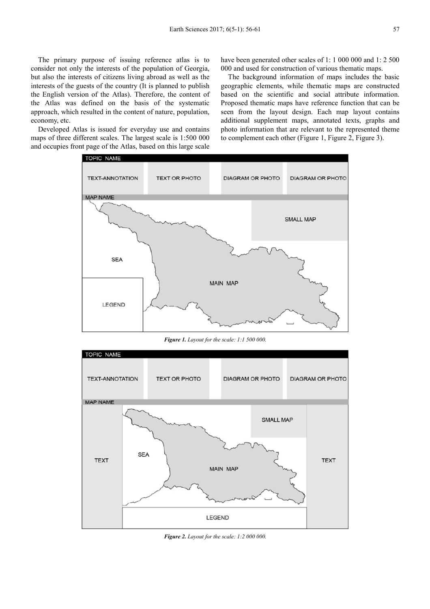The primary purpose of issuing reference atlas is to consider not only the interests of the population of Georgia, but also the interests of citizens living abroad as well as the interests of the guests of the country (It is planned to publish the English version of the Atlas). Therefore, the content of the Atlas was defined on the basis of the systematic approach, which resulted in the content of nature, population, economy, etc.

Developed Atlas is issued for everyday use and contains maps of three different scales. The largest scale is 1:500 000 and occupies front page of the Atlas, based on this large scale have been generated other scales of 1: 1 000 000 and 1: 2 500 000 and used for construction of various thematic maps.

The background information of maps includes the basic geographic elements, while thematic maps are constructed based on the scientific and social attribute information. Proposed thematic maps have reference function that can be seen from the layout design. Each map layout contains additional supplement maps, annotated texts, graphs and photo information that are relevant to the represented theme to complement each other (Figure 1, Figure 2, Figure 3).



*Figure 1. Layout for the scale: 1:1 500 000.* 



*Figure 2. Layout for the scale: 1:2 000 000.*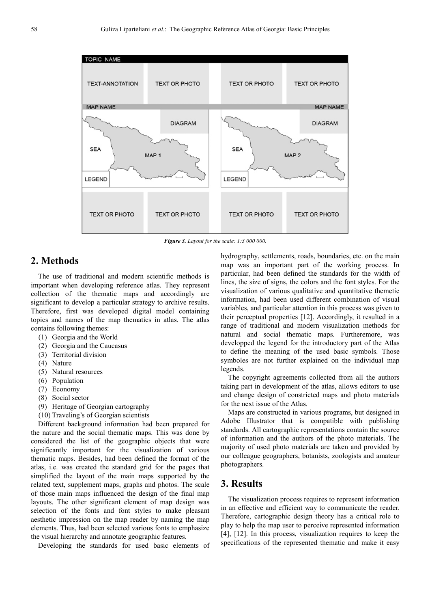

*Figure 3. Layout for the scale: 1:3 000 000.* 

### **2. Methods**

The use of traditional and modern scientific methods is important when developing reference atlas. They represent collection of the thematic maps and accordingly are significant to develop a particular strategy to archive results. Therefore, first was developed digital model containing topics and names of the map thematics in atlas. The atlas contains following themes:

- (1) Georgia and the World
- (2) Georgia and the Caucasus
- (3) Territorial division
- (4) Nature
- (5) Natural resources
- (6) Population
- (7) Economy
- (8) Social sector
- (9) Heritage of Georgian cartography
- (10) Traveling's of Georgian scientists

Different background information had been prepared for the nature and the social thematic maps. This was done by considered the list of the geographic objects that were significantly important for the visualization of various thematic maps. Besides, had been defined the format of the atlas, i.e. was created the standard grid for the pages that simplified the layout of the main maps supported by the related text, supplement maps, graphs and photos. The scale of those main maps influenced the design of the final map layouts. The other significant element of map design was selection of the fonts and font styles to make pleasant aesthetic impression on the map reader by naming the map elements. Thus, had been selected various fonts to emphasize the visual hierarchy and annotate geographic features.

Developing the standards for used basic elements of

hydrography, settlements, roads, boundaries, etc. on the main map was an important part of the working process. In particular, had been defined the standards for the width of lines, the size of signs, the colors and the font styles. For the visualization of various qualitative and quantitative themetic information, had been used different combination of visual variables, and particular attention in this process was given to their perceptual properties [12]. Accordingly, it resulted in a range of traditional and modern visualization methods for natural and social thematic maps. Furtheremore, was developped the legend for the introductory part of the Atlas to define the meaning of the used basic symbols. Those symboles are not further explained on the individual map legends.

The copyright agreements collected from all the authors taking part in development of the atlas, allows editors to use and change design of constricted maps and photo materials for the next issue of the Atlas.

Maps are constructed in various programs, but designed in Adobe Illustrator that is compatible with publishing standards. All cartographic representations contain the source of information and the authors of the photo materials. The majority of used photo materials are taken and provided by our colleague geographers, botanists, zoologists and amateur photographers.

#### **3. Results**

The visualization process requires to represent information in an effective and efficient way to communicate the reader. Therefore, cartographic design theory has a critical role to play to help the map user to perceive represented information [4], [12]. In this process, visualization requires to keep the specifications of the represented thematic and make it easy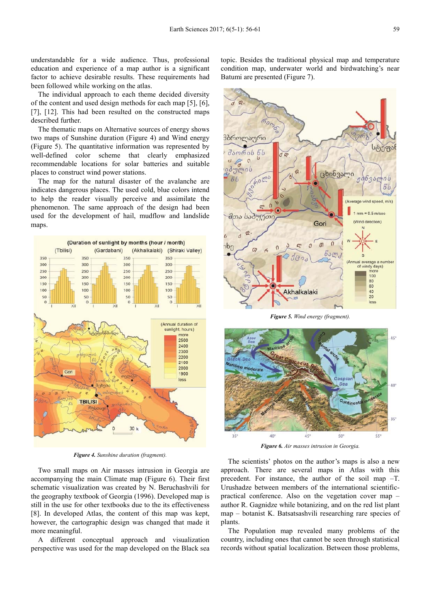understandable for a wide audience. Thus, professional education and experience of a map author is a significant factor to achieve desirable results. These requirements had been followed while working on the atlas.

The individual approach to each theme decided diversity of the content and used design methods for each map [5], [6], [7], [12]. This had been resulted on the constructed maps described further.

The thematic maps on Alternative sources of energy shows two maps of Sunshine duration (Figure 4) and Wind energy (Figure 5). The quantitative information was represented by well-defined color scheme that clearly emphasized recommendable locations for solar batteries and suitable places to construct wind power stations.

The map for the natural disaster of the avalanche are indicates dangerous places. The used cold, blue colors intend to help the reader visually perceive and assimilate the phenomenon. The same approach of the design had been used for the development of hail, mudflow and landslide maps.



*Figure 4. Sunshine duration (fragment).* 

Two small maps on Air masses intrusion in Georgia are accompanying the main Climate map (Figure 6). Their first schematic visualization was created by N. Beruchashvili for the geography textbook of Georgia (1996). Developed map is still in the use for other textbooks due to the its effectiveness [8]. In developed Atlas, the content of this map was kept, however, the cartographic design was changed that made it more meaningful.

A different conceptual approach and visualization perspective was used for the map developed on the Black sea topic. Besides the traditional physical map and temperature condition map, underwater world and birdwatching's near Batumi are presented (Figure 7).



*Figure 5. Wind energy (fragment).* 



*Figure 6. Air masses intrusion in Georgia.* 

The scientists' photos on the author's maps is also a new approach. There are several maps in Atlas with this precedent. For instance, the author of the soil map –T. Urushadze between members of the international scientificpractical conference. Also on the vegetation cover map – author R. Gagnidze while botanizing, and on the red list plant map – botanist K. Batsatsashvili researching rare species of plants.

The Population map revealed many problems of the country, including ones that cannot be seen through statistical records without spatial localization. Between those problems,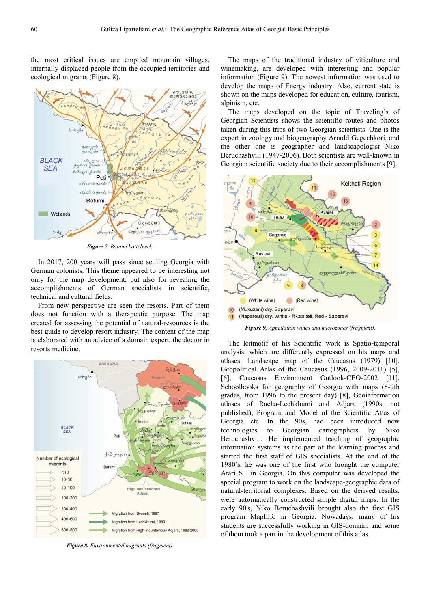the most critical issues are emptied mountain villages, internally displaced people from the occupied territories and ecological migrants (Figure 8).



*Figure 7. Batumi bottelneck.* 

In 2017, 200 years will pass since settling Georgia with German colonists. This theme appeared to be interesting not only for the map development, but also for revealing the accomplishments of German specialists in scientific, technical and cultural fields.

From new perspective are seen the resorts. Part of them does not function with a therapeutic purpose. The map created for assessing the potential of natural-resources is the best guide to develop resort industry. The content of the map is elaborated with an advice of a domain expert, the doctor in resorts medicine.



*Figure 8. Environmental migrants (fragment).* 

The maps of the traditional industry of viticulture and winemaking, are developed with interesting and popular information (Figure 9). The newest information was used to develop the maps of Energy industry. Also, current state is shown on the maps developed for education, culture, tourism, alpinism, etc.

The maps developed on the topic of Traveling's of Georgian Scientists shows the scientific routes and photos taken during this trips of two Georgian scientists. One is the expert in zoology and biogeography Arnold Gegechkori, and the other one is geographer and landscapologist Niko Beruchashvili (1947-2006). Both scientists are well-known in Georgian scientific society due to their accomplishments [9].



*Figure 9. Appellation wines and microzones (fragment).* 

The leitmotif of his Scientific work is Spatio-temporal analysis, which are differently expressed on his maps and atlases: Landscape map of the Caucasus (1979) [10], Geopolitical Atlas of the Caucasus (1996, 2009-2011) [5], [6], Caucasus Environment Outlook-CEO-2002 [11], Schoolbooks for geography of Georgia with maps (8-9th grades, from 1996 to the present day) [8], Geoinformation atlases of Racha-Lechkhumi and Adjara (1990s, not published), Program and Model of the Scientific Atlas of Georgia etc. In the 90s, had been introduced new technologies to Georgian cartographers by Niko Beruchashvili. He implemented teaching of geographic information systems as the part of the learning process and started the first staff of GIS specialists. At the end of the 1980's, he was one of the first who brought the computer Atari ST in Georgia. On this computer was developed the special program to work on the landscape-geographic data of natural-territorial complexes. Based on the derived results, were automatically constructed simple digital maps. In the early 90's, Niko Beruchashvili brought also the first GIS program MapInfo in Georgia. Nowadays, many of his students are successfully working in GIS-domain, and some of them took a part in the development of this atlas.